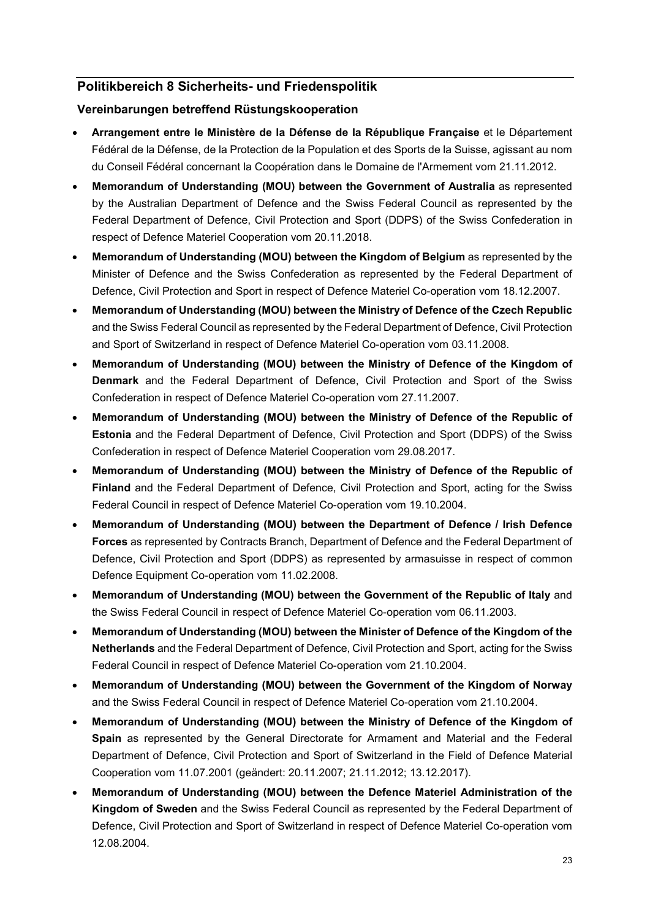## **Politikbereich 8 Sicherheits- und Friedenspolitik**

## **Vereinbarungen betreffend Rüstungskooperation**

- **Arrangement entre le Ministère de la Défense de la République Française** et le Département Fédéral de la Défense, de la Protection de la Population et des Sports de la Suisse, agissant au nom du Conseil Fédéral concernant la Coopération dans le Domaine de l'Armement vom 21.11.2012.
- **Memorandum of Understanding (MOU) between the Government of Australia** as represented by the Australian Department of Defence and the Swiss Federal Council as represented by the Federal Department of Defence, Civil Protection and Sport (DDPS) of the Swiss Confederation in respect of Defence Materiel Cooperation vom 20.11.2018.
- **Memorandum of Understanding (MOU) between the Kingdom of Belgium** as represented by the Minister of Defence and the Swiss Confederation as represented by the Federal Department of Defence, Civil Protection and Sport in respect of Defence Materiel Co-operation vom 18.12.2007.
- **Memorandum of Understanding (MOU) between the Ministry of Defence of the Czech Republic** and the Swiss Federal Council as represented by the Federal Department of Defence, Civil Protection and Sport of Switzerland in respect of Defence Materiel Co-operation vom 03.11.2008.
- **Memorandum of Understanding (MOU) between the Ministry of Defence of the Kingdom of Denmark** and the Federal Department of Defence, Civil Protection and Sport of the Swiss Confederation in respect of Defence Materiel Co-operation vom 27.11.2007.
- **Memorandum of Understanding (MOU) between the Ministry of Defence of the Republic of Estonia** and the Federal Department of Defence, Civil Protection and Sport (DDPS) of the Swiss Confederation in respect of Defence Materiel Cooperation vom 29.08.2017.
- **Memorandum of Understanding (MOU) between the Ministry of Defence of the Republic of Finland** and the Federal Department of Defence, Civil Protection and Sport, acting for the Swiss Federal Council in respect of Defence Materiel Co-operation vom 19.10.2004.
- **Memorandum of Understanding (MOU) between the Department of Defence / Irish Defence Forces** as represented by Contracts Branch, Department of Defence and the Federal Department of Defence, Civil Protection and Sport (DDPS) as represented by armasuisse in respect of common Defence Equipment Co-operation vom 11.02.2008.
- **Memorandum of Understanding (MOU) between the Government of the Republic of Italy** and the Swiss Federal Council in respect of Defence Materiel Co-operation vom 06.11.2003.
- **Memorandum of Understanding (MOU) between the Minister of Defence of the Kingdom of the Netherlands** and the Federal Department of Defence, Civil Protection and Sport, acting for the Swiss Federal Council in respect of Defence Materiel Co-operation vom 21.10.2004.
- **Memorandum of Understanding (MOU) between the Government of the Kingdom of Norway** and the Swiss Federal Council in respect of Defence Materiel Co-operation vom 21.10.2004.
- **Memorandum of Understanding (MOU) between the Ministry of Defence of the Kingdom of Spain** as represented by the General Directorate for Armament and Material and the Federal Department of Defence, Civil Protection and Sport of Switzerland in the Field of Defence Material Cooperation vom 11.07.2001 (geändert: 20.11.2007; 21.11.2012; 13.12.2017).
- **Memorandum of Understanding (MOU) between the Defence Materiel Administration of the Kingdom of Sweden** and the Swiss Federal Council as represented by the Federal Department of Defence, Civil Protection and Sport of Switzerland in respect of Defence Materiel Co-operation vom 12.08.2004.